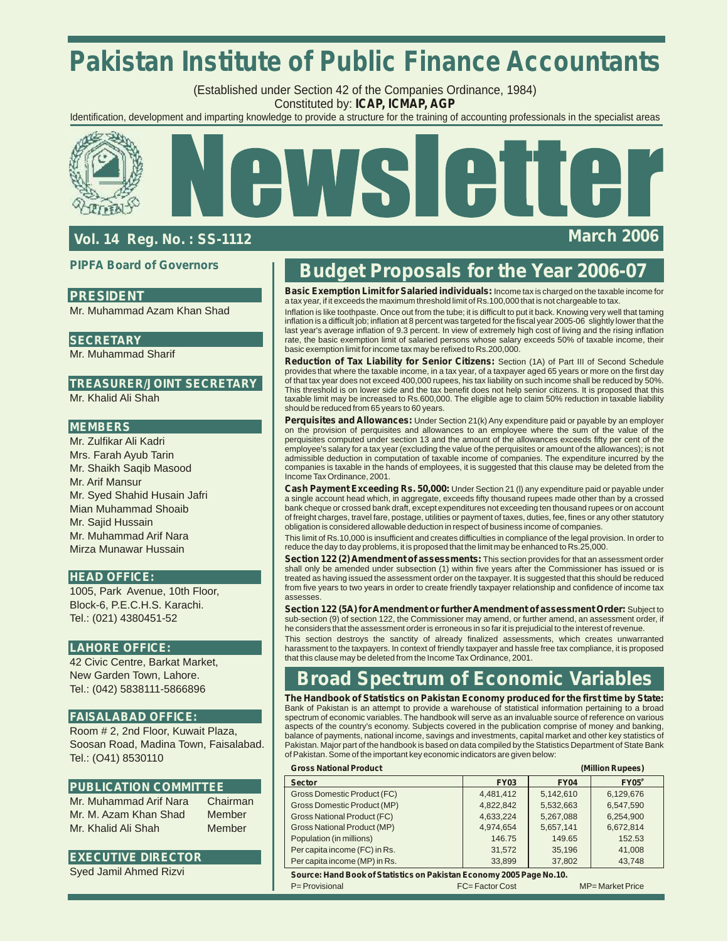# **Pakistan Institute of Public Finance Accountants**

(Established under Section 42 of the Companies Ordinance, 1984) Constituted by: **ICAP, ICMAP, AGP**

Identification, development and imparting knowledge to provide a structure for the training of accounting professionals in the specialist areas



### **Vol. 14 Reg. No. : SS-1112 March 2006**

#### **PIPFA Board of Governors**

### **PRESIDENT**

Mr. Muhammad Azam Khan Shad

#### **SECRETARY**

Mr. Muhammad Sharif

### **TREASURER/JOINT SECRETARY**

Mr. Khalid Ali Shah

#### **MEMBERS**

Mr. Zulfikar Ali Kadri Mrs. Farah Ayub Tarin Mr. Shaikh Saqib Masood Mr. Arif Mansur Mr. Syed Shahid Husain Jafri Mian Muhammad Shoaib Mr. Sajid Hussain Mr. Muhammad Arif Nara Mirza Munawar Hussain

#### **HEAD OFFICE:**

1005, Park Avenue, 10th Floor, Block-6, P.E.C.H.S. Karachi. Tel.: (021) 4380451-52

#### **LAHORE OFFICE:**

42 Civic Centre, Barkat Market, New Garden Town, Lahore. Tel.: (042) 5838111-5866896

#### **FAISALABAD OFFICE:**

Room # 2, 2nd Floor, Kuwait Plaza, Soosan Road, Madina Town, Faisalabad. Tel.: (O41) 8530110

#### **PUBLICATION COMMITTEE**

Mr. Muhammad Arif Nara Chairman Mr. M. Azam Khan Shad Member Mr. Khalid Ali Shah Member

#### **EXECUTIVE DIRECTOR**

Syed Jamil Ahmed Rizvi

## **Budget Proposals for the Year 2006-07**

**Basic Exemption Limit for Salaried individuals:** Income tax is charged on the taxable income for a tax year, if it exceeds the maximum threshold limit of Rs.100,000 that is not chargeable to tax

Inflation is like toothpaste. Once out from the tube; it is difficult to put it back. Knowing very well that taming inflation is a difficult job; inflation at 8 percent was targeted for the fiscal year 2005-06 slightly lower that the<br>last year's average inflation of 9.3 percent. In view of extremely high cost of living and the rising i rate, the basic exemption limit of salaried persons whose salary exceeds 50% of taxable income, their basic exemption limit for income tax may be refixed to Rs.200,000.

**Reduction of Tax Liability for Senior Citizens:** Section (1A) of Part III of Second Schedule provides that where the taxable income, in a tax year, of a taxpayer aged 65 years or more on the first day of that tax year does not exceed 400,000 rupees, his tax liability on such income shall be reduced by 50%. This threshold is on lower side and the tax benefit does not help senior citizens. It is proposed that this taxable limit may be increased to Rs.600,000. The eligible age to claim 50% reduction in taxable liability should be reduced from 65 years to 60 years.

**Perquisites and Allowances:** Under Section 21(k) Any expenditure paid or payable by an employer on the provision of perquisites and allowances to an employee where the sum of the value of the perquisites computed under section 13 and the amount of the allowances exceeds fifty per cent of the employee's salary for a tax year (excluding the value of the perquisites or amount of the allowances); is not admissible deduction in computation of taxable income of companies. The expenditure incurred by the companies is taxable in the hands of employees, it is suggested that this clause may be deleted from the Income Tax Ordinance, 2001.

**Cash Payment Exceeding Rs. 50,000:** Under Section 21 (l) any expenditure paid or payable under a single account head which, in aggregate, exceeds fifty thousand rupees made other than by a crossed bank cheque or crossed bank draft, except expenditures not exceeding ten thousand rupees or on account of freight charges, travel fare, postage, utilities or payment of taxes, duties, fee, fines or any other statutory obligation is considered allowable deduction in respect of business income of companies.

This limit of Rs.10,000 is insufficient and creates difficulties in compliance of the legal provision. In order to reduce the day to day problems, it is proposed that the limit may be enhanced to Rs.25,000.

**Section 122 (2) Amendment of assessments:** This section provides for that an assessment order shall only be amended under subsection (1) within five years after the Commissioner has issued or is treated as having issued the assessment order on the taxpayer. It is suggested that this should be reduced from five years to two years in order to create friendly taxpayer relationship and confidence of income tax assesses.

**Section 122 (5A) for Amendment or further Amendment of assessment Order:** Subject to sub-section (9) of section 122, the Commissioner may amend, or further amend, an assessment order, if he considers that the assessment order is erroneous in so far it is prejudicial to the interest of revenue.

This section destroys the sanctity of already finalized assessments, which creates unwarranted harassment to the taxpayers. In context of friendly taxpayer and hassle free tax compliance, it is proposed that this clause may be deleted from the Income Tax Ordinance, 2001.

## **Broad Spectrum of Economic Variables**

**The Handbook of Statistics on Pakistan Economy produced for the first time by State:**  Bank of Pakistan is an attempt to provide a warehouse of statistical information pertaining to a broad spectrum of economic variables. The handbook will serve as an invaluable source of reference on various aspects of the country's economy. Subjects covered in the publication comprise of money and banking, balance of payments, national income, savings and investments, capital market and other key statistics of Pakistan. Major part of the handbook is based on data compiled by the Statistics Department of State Bank of Pakistan. Some of the important key economic indicators are given below:

| <b>Gross National Product</b><br>(Million Rupees) |             |             |                   |
|---------------------------------------------------|-------------|-------------|-------------------|
| <b>Sector</b>                                     | <b>FY03</b> | <b>FY04</b> | FY05 <sup>P</sup> |
| <b>Gross Domestic Product (FC)</b>                | 4,481,412   | 5,142,610   | 6,129,676         |
| Gross Domestic Product (MP)                       | 4.822.842   | 5,532,663   | 6,547,590         |
| <b>Gross National Product (FC)</b>                | 4,633,224   | 5,267,088   | 6,254,900         |
| <b>Gross National Product (MP)</b>                | 4,974,654   | 5,657,141   | 6,672,814         |
| Population (in millions)                          | 146.75      | 149.65      | 152.53            |
| Per capita income (FC) in Rs.                     | 31.572      | 35.196      | 41,008            |
| Per capita income (MP) in Rs.                     | 33,899      | 37,802      | 43,748            |

*Source: Hand Book of Statistics on Pakistan Economy 2005 Page No.10.* P= Provisional FC= Factor Cost MP= Market Price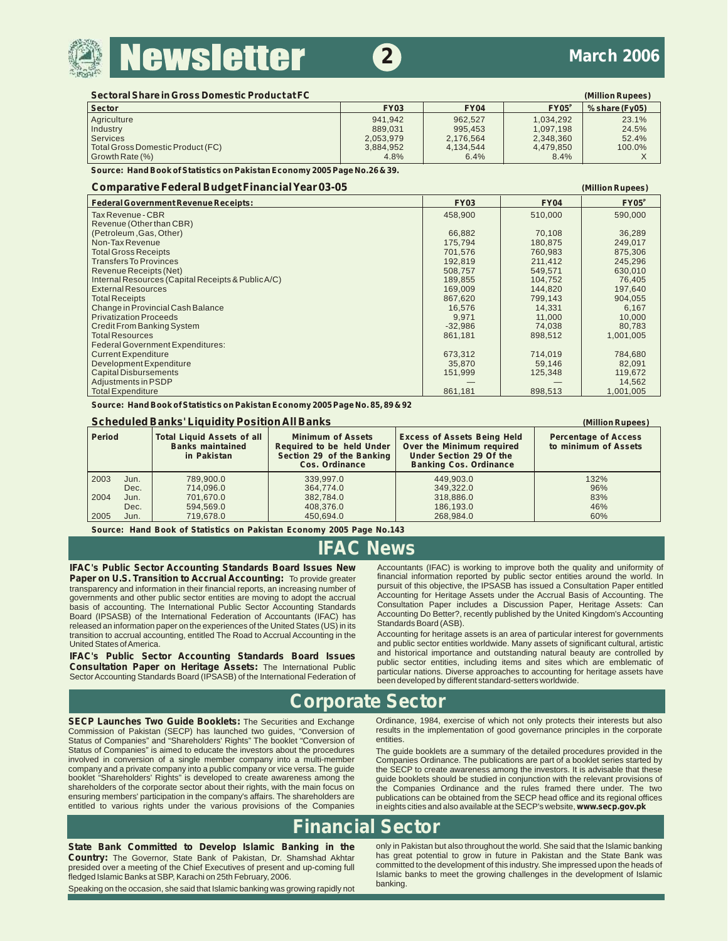

### **2 March 2006**

| Sectoral Share in Gross Domestic Product at FC |             |             |                   | (Million Rupees) |
|------------------------------------------------|-------------|-------------|-------------------|------------------|
| ∣ Sector                                       | <b>FY03</b> | <b>FY04</b> | FY05 <sup>P</sup> | $% share$ (Fv05) |
| Agriculture                                    | 941.942     | 962.527     | 1.034.292         | 23.1%            |
| Industry                                       | 889.031     | 995.453     | 1.097.198         | 24.5%            |
| Services                                       | 2.053.979   | 2,176,564   | 2,348,360         | 52.4%            |
| Total Gross Domestic Product (FC)              | 3.884.952   | 4.134.544   | 4.479.850         | 100.0%           |
| Growth Rate (%)                                | 4.8%        | 6.4%        | 8.4%              |                  |

*Source: Hand Book of Statistics on Pakistan Economy 2005 Page No.26 & 39.*

#### **Comparative Federal Budget Financial Year 03-05 (Million Rupees)**

| <b>Federal Government Revenue Receipts:</b>        | <b>FY03</b> | <b>FY04</b> | FY05 <sup>P</sup> |
|----------------------------------------------------|-------------|-------------|-------------------|
| <b>Tax Revenue - CBR</b>                           | 458,900     | 510,000     | 590,000           |
| Revenue (Other than CBR)                           |             |             |                   |
| (Petroleum, Gas, Other)                            | 66,882      | 70,108      | 36,289            |
| Non-Tax Revenue                                    | 175,794     | 180,875     | 249,017           |
| <b>Total Gross Receipts</b>                        | 701.576     | 760.983     | 875,306           |
| <b>Transfers To Provinces</b>                      | 192,819     | 211,412     | 245,296           |
| Revenue Receipts (Net)                             | 508,757     | 549,571     | 630,010           |
| Internal Resources (Capital Receipts & Public A/C) | 189,855     | 104,752     | 76.405            |
| <b>External Resources</b>                          | 169.009     | 144.820     | 197,640           |
| <b>Total Receipts</b>                              | 867,620     | 799,143     | 904,055           |
| Change in Provincial Cash Balance                  | 16,576      | 14.331      | 6,167             |
| <b>Privatization Proceeds</b>                      | 9,971       | 11,000      | 10,000            |
| Credit From Banking System                         | $-32,986$   | 74,038      | 80,783            |
| <b>Total Resources</b>                             | 861,181     | 898,512     | 1,001,005         |
| <b>Federal Government Expenditures:</b>            |             |             |                   |
| <b>Current Expenditure</b>                         | 673,312     | 714,019     | 784,680           |
| Development Expenditure                            | 35,870      | 59,146      | 82,091            |
| <b>Capital Disbursements</b>                       | 151,999     | 125,348     | 119,672           |
| Adjustments in PSDP                                |             |             | 14,562            |
| <b>Total Expenditure</b>                           | 861,181     | 898,513     | 1,001,005         |

*Source: Hand Book of Statistics on Pakistan Economy 2005 Page No. 85, 89 & 92*

#### **Scheduled Banks' Liquidity Position All Banks (Million Rupees)**

| Period |      | <b>Total Liquid Assets of all</b><br><b>Banks maintained</b><br>in Pakistan | <b>Minimum of Assets</b><br>Required to be held Under<br>Section 29 of the Banking<br>Cos. Ordinance | <b>Excess of Assets Being Held</b><br>Over the Minimum required<br>Under Section 29 Of the<br><b>Banking Cos. Ordinance</b> | <b>Percentage of Access</b><br>to minimum of Assets |
|--------|------|-----------------------------------------------------------------------------|------------------------------------------------------------------------------------------------------|-----------------------------------------------------------------------------------------------------------------------------|-----------------------------------------------------|
| 2003   | Jun. | 789.900.0                                                                   | 339.997.0                                                                                            | 449.903.0                                                                                                                   | 132%                                                |
|        | Dec. | 714.096.0                                                                   | 364,774.0                                                                                            | 349.322.0                                                                                                                   | 96%                                                 |
| 2004   | Jun. | 701.670.0                                                                   | 382.784.0                                                                                            | 318,886.0                                                                                                                   | 83%                                                 |
|        | Dec. | 594.569.0                                                                   | 408.376.0                                                                                            | 186.193.0                                                                                                                   | 46%                                                 |
| 2005   | Jun. | 719.678.0                                                                   | 450.694.0                                                                                            | 268.984.0                                                                                                                   | 60%                                                 |

*Source: Hand Book of Statistics on Pakistan Economy 2005 Page No.143*

## **IFAC News**

**IFAC's Public Sector Accounting Standards Board Issues New** Accountants (IFAC) is working to improve both the quality and uniformity of **Paper on U.S. Transition to Accrual Accounting:** To provide greater financial inform **Paper on U.S. Transition to Accrual Accounting:** To provide greater financial information reported by public sector entities around the world. In transparency and information in their financial reports an increasing numbe transparency and information in their financial reports, an increasing number of pursuit of this objective, the IPSASB has issued a Consultation Paper entitled transparency and other public sector entities are moving to ad governments and other public sector entities are moving to adopt the accrual and Accounting for Heritage Assets under the Accrual Basis of Accounting. The entities are moving the accrual sector entities are moving to addep basis of accounting. The International Public Sector Accounting Standards Consultation Paper includes a Discussion Paper, Heritage Assets: Can basets: Can basis of accounting Standards Can basis of accounting Bo Better?, r Board (IPSASB) of the International Federation of Accountants (IFAC) has Accounting Do Better?, internation published States (IS) in its Standards Board (ASB). released an information paper on the experiences of the United States (US) in its Standards Board (ASB).<br>Transition to accrual accounting entitled The Road to Accrual Accounting in the Accounting for heritage assets is an transition to accrual accounting, entitled The Road to Accrual Accounting in the United States of America.

and public sector entities worldwide. Many assets of significant cultural, artistic and historical importance and outstanding natural beauty are controlled by **IFAC's Public Sector Accounting Standards Board Issues** and historical importance and outstanding natural beauty are controlled by<br> **Consultation Paper on Heritage Assets:** The International Public public sector entities,

### **Corporate Sector**

Status of Companies" and "Shareholders' Rights" The booklet "Conversion of Status of Companies" is aimed to educate the investors about the procedures Status of Companies" is aimed to educate the investors about the procedures The guide booklets are a summary of the detailed procedures provided in the involved in conversion of a single member company into a multi-member company and a private company into a public company or vice versa. The guide the SECP to create awareness among the investors. It is advisable that these<br>booklet "Shareholders' Rights" is developed to create awareness amon shareholders of the corporate sector about their rights, with the main focus on the Companies Ordinance and the rules framed there under. The two ensuring members' participation in the company's affairs. The shareholders a

**SECP Launches Two Guide Booklets:** The Securities and Exchange Ordinance, 1984, exercise of which not only protects their interests but also Commission of Pakistan (SECP) has launched two quides, "Conversion of results in results in the implementation of good governance principles in the corporate entities.

involved in conversion of a single member company into a multi-member Companies Ordinance. The publications are part of a booklet series started by<br>Company and a private company into a public company or vice versa. The gui booklet "Shareholders' Rights" is developed to create awareness among the guide booklets should be studied in conjunction with the relevant provisions of shareholders of the corporate sector about their rights, with the ma ensuring members' participation in the company's affairs. The shareholders are publications can be obtained from the SECP head office and its regional offices entitled to various rights under the various provisions of the in eights cities and also available at the SECP's website, www.secp.gov.pk

## **Financial Sector**

**committed to the development of this industry. She impressed upon the heads of present and up-coming full committed to the development of this industry. She impressed upon the heads of present and up-coming full slamic ba** 

Speaking on the occasion, she said that Islamic banking was growing rapidly not

**State Bank Committed to Develop Islamic Banking in the** only in Pakistan but also throughout the world. She said that the Islamic banking<br>Country: The Governor, State Bank of Pakistan, Dr. Shamshad Akhtar has great potent Country: The Governor, State Bank of Pakistan, Dr. Shamshad Akhtar has great potential to grow in future in Pakistan and the State Bank was Islamic banks to meet the growing challenges in the development of Islamic banking.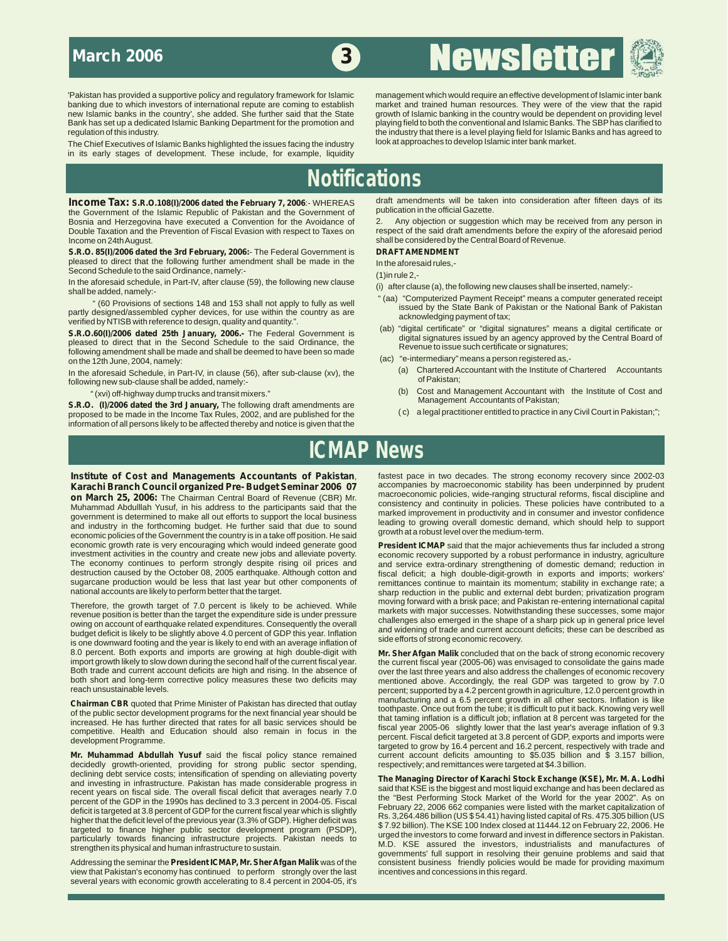## ewslette **3**

The Chief Executives of Islamic Banks highlighted the issues facing the industry in its early stages of development. These include, for example, liquidity

'Pakistan has provided a supportive policy and regulatory framework for Islamic management which would require an effective development of Islamic inter bank<br>banking due to which investors of international repute are comin banking due to which investors of international repute are coming to establish market and trained human resources. They were of the view that the rapid growth of Islamic banking in the country would be dependent on providing level<br>playing field to both the conventional and Islamic Banks. The SBP has clarified to Bank has set up a dedicated Islamic Banking Department for the promotion and playing field to both the conventional and Islamic Banks. The SBP has clarified to regulation of this industry.<br>The Chief Executives of Islamic Banks highlighted the issues facing the industry that there is a level playing field for Islamic Banks and has agreed to<br>The Chief Executives of Islamic Banks hi

## **Notifications**

the Government of the Islamic Republic of Pakistan and the Government of publication in the official Gazette.<br>Bosnia and Herzegovina have executed a Convention for the Avoidance of 2. Any objection or suggestion which may Bosnia and Herzegovina have executed a Convention for the Avoidance of 2.<br>Double Taxation and the Prevention of Fiscal Evasion with respect to Taxes on inc

**S.R.O. 85(I)/2006 dated the 3rd February, 2006:**- The Federal Government is **DRAFT AMENDMENT** pleased to direct that the following further amendment shall be made in the In the aforesaid rules,-

Second Schedule to the said Ordinance, namely:-<br>In the aforesaid schedule, in Part-IV, after clause (59), the following new clause (1) ofter clau

" (60 Provisions of sections 148 and 153 shall not apply to fully as well<br>partly designed/assembled cypher devices, for use within the country as are<br>verified by the State Bank of Pakistan or the National Bank of Pakistan<br>

**S.R.O.60(I)/2006 dated 25th January, 2006.** The Federal Government is pleased to direct that in the Second Schedule to the said Ordinance, the following amendment shall be made and shall be deemed to have been so made (ab

In the aforesaid Schedule, in Part-IV, in clause (56), after sub-clause (xv), the (a) Chartered A contracted A<br>following now sub-clause chall be added namely: following new sub-clause shall be added, namely:-<br>"(yvi) off-bighway dumn trucks and transit mixers "

S.R.O. (I)/2006 dated the 3rd January, The following draft amendments are<br>
stropposed to be made in the Income Tax Rules, 2002, and are published for the (c) a legal practitioner entitled to practice in any Civil Court in proposed to be made in the Income Tax Rules, 2002, and are published for the information of all persons likely to be affected thereby and notice is given that the

**Income Tax: S.R.O.108(I)/2006 dated the February 7, 2006**:- WHEREAS draft amendments will be taken into consideration after fifteen days of its the Geven prodition in the official Gazette.

Double Taxation and the Prevention of Fiscal Evasion with respect to Taxes on respect of the said draft amendments before the expiry of the aforesaid period<br>Income on 24th August. shall be considered by the Central Board of Revenue.

- 
- 
- 
- 
- "e-intermediary" means a person registered as,-<br>(a) Chartered Accountant with the Institute of Chartered Accountants
- (xvi) off-highway dump trucks and transit mixers."<br>(b) Cost and Management Accountants of Pakistan;<br>(b) Cost and Management Accountants of Pakistan;
	-

## **ICMAP News**

**Institute of Cost and Managements Accountants of Pakistan**, fastest pace in two decades. The strong economy recovery since 2002-03<br>Karachi Branch Council organized Pre- Budget Seminar 2006 07 accompanies by macroeconomic **Karachi Branch Council organized Pre- Budget Seminar 2006 07** accompanies by macroeconomic stability has been underpinned by prudent on March 25, 2006: The Chairman Central Board of Beyenue (CBP) Mr **on March 25, 2006:** The Chairman Central Board of Revenue (CBR) Mr.<br>
Muhammad Abdulllah Yusuf, in his address to the participants said that the<br>
marked improvement in productivity and in consumer and investormed to a<br>
gov economic growth rate is very encouraging which would indeed generate good<br>investment activities in the country and create new jobs and alleviate poverty.<br>economic recovery supported by a robust performance in industriance investment activities in the country and create new jobs and alleviate poverty.<br>The economy continues to perform strongly despite rising oil prices and and service extra-ordinary strengthening of domestic demand; reduction

is one downward footing and the year is likely to end with an average inflation of<br>8.0 percent. Both exports and imports are growing at high double-digit with 8.0 percent. Both exports and imports are growing at high double-digit with **Mr. Sher Afgan Malik** concluded that on the back of strong economic recovery<br>import growth likely to slow down during the second half of the curr import growth likely to slow down during the second half of the current fiscal year. the current fiscal year (2005-06) was envisaged to consolidate the gains made<br>Both trade and current account deficits are high and rising Both trade and current account deficits are high and rising. In the absence of over the last three years and also address the challenges of economic recovery<br>both short and long-term corrective policy measures these two de both short and long-term corrective policy measures these two deficits may mentioned above. Accordingly, the real GDP was targeted to grow by 7.0<br>Thercent: supported by a 4.2 percent growth in agriculture 12.0 percent grow

decidedly growth-oriented, providing for strong public sector spending, declining debt service costs; intensification of spending on alleviating poverty

view that Pakistan's economy has continued to perform strongly over the last several years with economic growth accelerating to 8.4 percent in 2004-05, it's

The economy continues to perform strongly despite rising oil prices and and service extra-ordinary strengthening of domestic demand; reduction in<br>destruction caused by the October 08, 2005 earthquake. Although cotton and f sugarcane production would be less that last year but other components of remittances continue to maintain its momentum; stability in exchange rate; a sharp reduction in the public and external debt burden; privatization p sharp reduction in the public and external debt burden; privatization program<br>moving forward with a brisk pace; and Pakistan re-entering international capital Therefore, the growth target of 7.0 percent is likely to be achieved. While<br>revenue position is better than the target the expenditure side is under pressure<br>owing on account of earthquake related expenditures. Consequentl

percent; supported by a 4.2 percent growth in agriculture, 12.0 percent growth in manufacturing and a 6.5 percent growth in all other sectors. Inflation is like **Chairman CBR** quoted that Prime Minister of Pakistan has directed that outlay that manufacturing and a 6.5 percent growth in all other sectors. Inflation is like<br>of the public sector development programs for the next fina **Mr. Muhammad Abdullah Yusuf** said the fiscal policy stance remained current account deficits amounting to \$5.035 billion and \$ 3.157 billion,

and investing in infrastructure. Pakistan has made considerable progress in<br>
recent years on fiscal side. The overall fiscal deficit that averages nearly 7.0<br>
recent of the GDP in the 1990s has declined to 3.3 percent in 2 consistent business friendly policies would be made for providing maximum incentives and concessions in this regard.

In the aforesaid schedule, in Part-IV, after clause (59), the following new clause (a) after clause (a), the following new clauses shall be inserted, namely:-<br>shall be added, namely:-<br>"(aa) "Computerized Payment Receipt" m